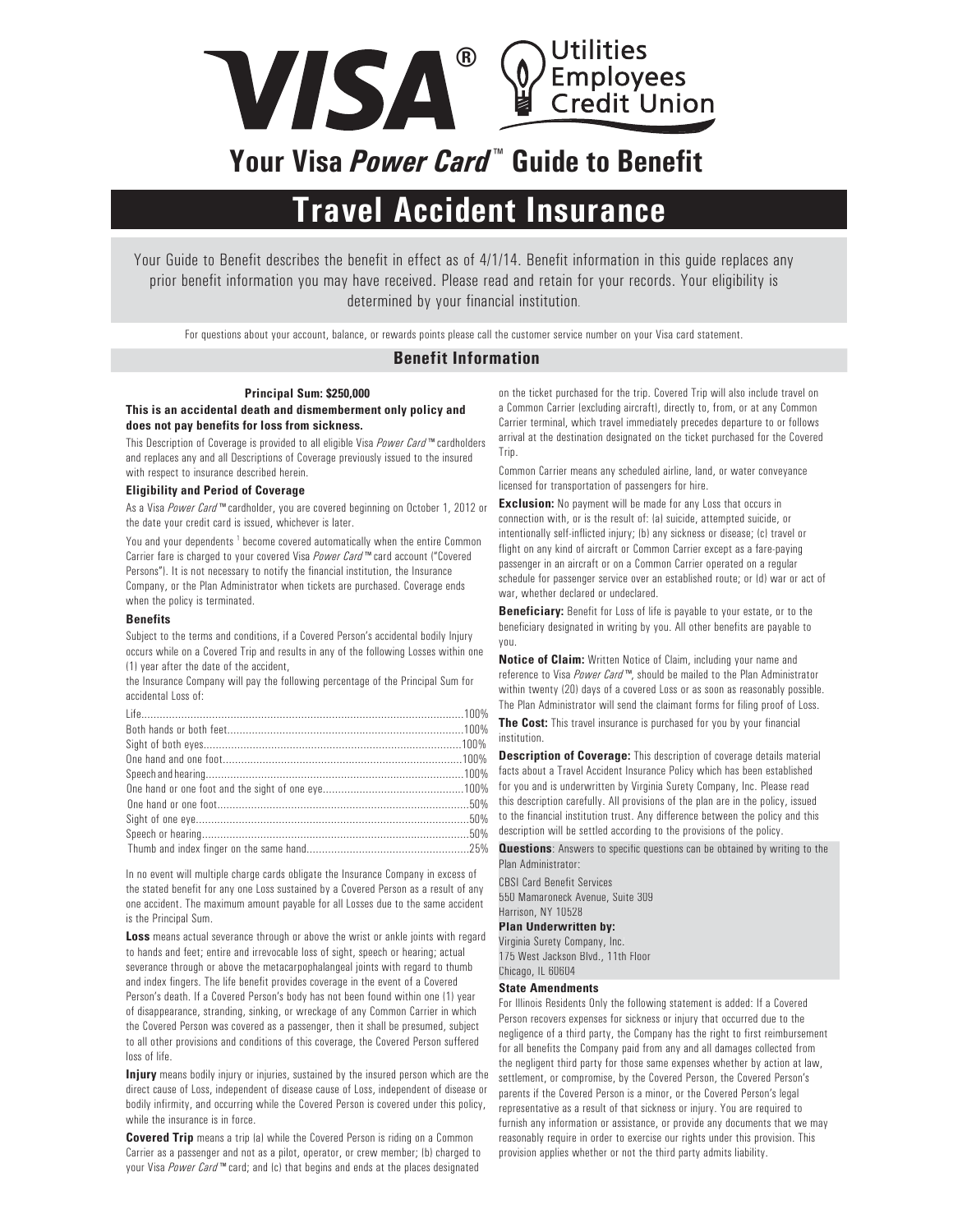

# **Your Visa** *Power Card* **™ Guide to Benefit**

# **Travel Accident Insurance**

Your Guide to Benefit describes the benefit in effect as of 4/1/14. Benefit information in this guide replaces any prior benefit information you may have received. Please read and retain for your records. Your eligibility is determined by your financial institution.

For questions about your account, balance, or rewards points please call the customer service number on your Visa card statement.

## **Benefit Information**

#### **Principal Sum: \$250,000**

### **This is an accidental death and dismemberment only policy and does not pay benefits for loss from sickness.**

This Description of Coverage is provided to all eligible Visa *Power Card™* cardholders and replaces any and all Descriptions of Coverage previously issued to the insured with respect to insurance described herein.

#### **Eligibility and Period of Coverage**

As a Visa *Power Card™* cardholder, you are covered beginning on October 1, 2012 or the date your credit card is issued, whichever is later.

You and your dependents<sup>1</sup> become covered automatically when the entire Common Carrier fare is charged to your covered Visa *Power Card™* card account ("Covered Persons"). It is not necessary to notify the financial institution, the Insurance Company, or the Plan Administrator when tickets are purchased. Coverage ends when the policy is terminated.

#### **Benefits**

Subject to the terms and conditions, if a Covered Person's accidental bodily Injury occurs while on a Covered Trip and results in any of the following Losses within one (1) year after the date of the accident,

the Insurance Company will pay the following percentage of the Principal Sum for accidental Loss of:

In no event will multiple charge cards obligate the Insurance Company in excess of the stated benefit for any one Loss sustained by a Covered Person as a result of any one accident. The maximum amount payable for all Losses due to the same accident is the Principal Sum.

**Loss** means actual severance through or above the wrist or ankle joints with regard to hands and feet; entire and irrevocable loss of sight, speech or hearing; actual severance through or above the metacarpophalangeal joints with regard to thumb and index fingers. The life benefit provides coverage in the event of a Covered Person's death. If a Covered Person's body has not been found within one (1) year of disappearance, stranding, sinking, or wreckage of any Common Carrier in which the Covered Person was covered as a passenger, then it shall be presumed, subject to all other provisions and conditions of this coverage, the Covered Person suffered loss of life.

**Injury** means bodily injury or injuries, sustained by the insured person which are the direct cause of Loss, independent of disease cause of Loss, independent of disease or bodily infirmity, and occurring while the Covered Person is covered under this policy, while the insurance is in force.

**Covered Trip** means a trip (a) while the Covered Person is riding on a Common Carrier as a passenger and not as a pilot, operator, or crew member; (b) charged to your Visa *Power Card™* card; and (c) that begins and ends at the places designated

on the ticket purchased for the trip. Covered Trip will also include travel on a Common Carrier (excluding aircraft), directly to, from, or at any Common Carrier terminal, which travel immediately precedes departure to or follows arrival at the destination designated on the ticket purchased for the Covered Trip.

Common Carrier means any scheduled airline, land, or water conveyance licensed for transportation of passengers for hire.

**Exclusion:** No payment will be made for any Loss that occurs in connection with, or is the result of: (a) suicide, attempted suicide, or intentionally self-inflicted injury; (b) any sickness or disease; (c) travel or flight on any kind of aircraft or Common Carrier except as a fare-paying passenger in an aircraft or on a Common Carrier operated on a regular schedule for passenger service over an established route; or (d) war or act of war, whether declared or undeclared.

**Beneficiary:** Benefit for Loss of life is payable to your estate, or to the beneficiary designated in writing by you. All other benefits are payable to you.

**Notice of Claim:** Written Notice of Claim, including your name and reference to Visa *Power Card™*, should be mailed to the Plan Administrator within twenty (20) days of a covered Loss or as soon as reasonably possible. The Plan Administrator will send the claimant forms for filing proof of Loss.

**The Cost:** This travel insurance is purchased for you by your financial institution.

**Description of Coverage:** This description of coverage details material facts about a Travel Accident Insurance Policy which has been established for you and is underwritten by Virginia Surety Company, Inc. Please read this description carefully. All provisions of the plan are in the policy, issued to the financial institution trust. Any difference between the policy and this description will be settled according to the provisions of the policy.

**Questions**: Answers to specific questions can be obtained by writing to the Plan Administrator:

CBSI Card Benefit Services 550 Mamaroneck Avenue, Suite 309 Harrison, NY 10528 **Plan Underwritten by:** Virginia Surety Company, Inc. 175 West Jackson Blvd., 11th Floor Chicago, IL 60604

#### **State Amendments**

For Illinois Residents Only the following statement is added: If a Covered Person recovers expenses for sickness or injury that occurred due to the negligence of a third party, the Company has the right to first reimbursement for all benefits the Company paid from any and all damages collected from the negligent third party for those same expenses whether by action at law, settlement, or compromise, by the Covered Person, the Covered Person's parents if the Covered Person is a minor, or the Covered Person's legal representative as a result of that sickness or injury. You are required to furnish any information or assistance, or provide any documents that we may reasonably require in order to exercise our rights under this provision. This provision applies whether or not the third party admits liability.